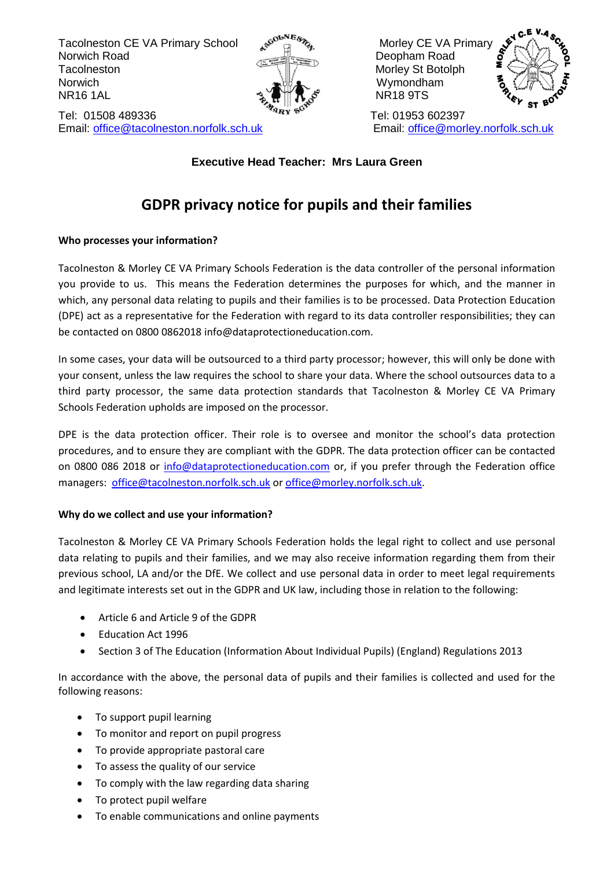Tacolneston CE VA Primary School مو<sup>چھتم</sup>تھے Morley CE VA Primary School Morley CE VA Primary<br>Norwich Road Norwich Road Deopham Road Deopham Road Tacolneston Morley St Botolph Norwich **Notation Contract Contract America** Wymondham  $\mathcal{R} \bullet \mathbb{R}$  NR16 1AL  $\sim$   $\bullet$  NR18 9TS



Tel: 01508 489336 Tel: 01953 602397 Email: [office@tacolneston.norfolk.sch.uk](mailto:office@tacolneston.norfolk.sch.uk) Email: office@morley.norfolk.sch.uk



# **Executive Head Teacher: Mrs Laura Green**

# **GDPR privacy notice for pupils and their families**

# **Who processes your information?**

Tacolneston & Morley CE VA Primary Schools Federation is the data controller of the personal information you provide to us. This means the Federation determines the purposes for which, and the manner in which, any personal data relating to pupils and their families is to be processed. Data Protection Education (DPE) act as a representative for the Federation with regard to its data controller responsibilities; they can be contacted on 0800 0862018 info@dataprotectioneducation.com.

In some cases, your data will be outsourced to a third party processor; however, this will only be done with your consent, unless the law requires the school to share your data. Where the school outsources data to a third party processor, the same data protection standards that Tacolneston & Morley CE VA Primary Schools Federation upholds are imposed on the processor.

DPE is the data protection officer. Their role is to oversee and monitor the school's data protection procedures, and to ensure they are compliant with the GDPR. The data protection officer can be contacted on 0800 086 2018 or [info@dataprotectioneducation.com](mailto:info@dataprotectioneducation.com) or, if you prefer through the Federation office managers: [office@tacolneston.norfolk.sch.uk](mailto:office@tacolneston.norfolk.sch.uk) or [office@morley.norfolk.sch.uk.](mailto:office@morley.norfolk.sch.uk)

# **Why do we collect and use your information?**

Tacolneston & Morley CE VA Primary Schools Federation holds the legal right to collect and use personal data relating to pupils and their families, and we may also receive information regarding them from their previous school, LA and/or the DfE. We collect and use personal data in order to meet legal requirements and legitimate interests set out in the GDPR and UK law, including those in relation to the following:

- Article 6 and Article 9 of the GDPR
- Education Act 1996
- Section 3 of The Education (Information About Individual Pupils) (England) Regulations 2013

In accordance with the above, the personal data of pupils and their families is collected and used for the following reasons:

- To support pupil learning
- To monitor and report on pupil progress
- To provide appropriate pastoral care
- To assess the quality of our service
- To comply with the law regarding data sharing
- To protect pupil welfare
- To enable communications and online payments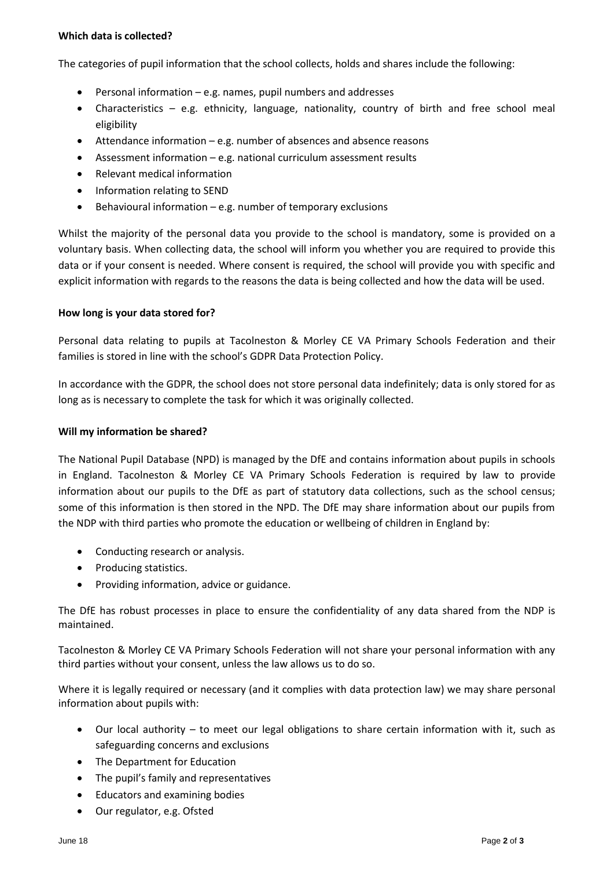#### **Which data is collected?**

The categories of pupil information that the school collects, holds and shares include the following:

- Personal information e.g. names, pupil numbers and addresses
- Characteristics e.g. ethnicity, language, nationality, country of birth and free school meal eligibility
- Attendance information e.g. number of absences and absence reasons
- Assessment information e.g. national curriculum assessment results
- Relevant medical information
- Information relating to SEND
- $\bullet$  Behavioural information e.g. number of temporary exclusions

Whilst the majority of the personal data you provide to the school is mandatory, some is provided on a voluntary basis. When collecting data, the school will inform you whether you are required to provide this data or if your consent is needed. Where consent is required, the school will provide you with specific and explicit information with regards to the reasons the data is being collected and how the data will be used.

#### **How long is your data stored for?**

Personal data relating to pupils at Tacolneston & Morley CE VA Primary Schools Federation and their families is stored in line with the school's GDPR Data Protection Policy.

In accordance with the GDPR, the school does not store personal data indefinitely; data is only stored for as long as is necessary to complete the task for which it was originally collected.

#### **Will my information be shared?**

The National Pupil Database (NPD) is managed by the DfE and contains information about pupils in schools in England. Tacolneston & Morley CE VA Primary Schools Federation is required by law to provide information about our pupils to the DfE as part of statutory data collections, such as the school census; some of this information is then stored in the NPD. The DfE may share information about our pupils from the NDP with third parties who promote the education or wellbeing of children in England by:

- Conducting research or analysis.
- Producing statistics.
- Providing information, advice or guidance.

The DfE has robust processes in place to ensure the confidentiality of any data shared from the NDP is maintained.

Tacolneston & Morley CE VA Primary Schools Federation will not share your personal information with any third parties without your consent, unless the law allows us to do so.

Where it is legally required or necessary (and it complies with data protection law) we may share personal information about pupils with:

- Our local authority to meet our legal obligations to share certain information with it, such as safeguarding concerns and exclusions
- The Department for Education
- The pupil's family and representatives
- Educators and examining bodies
- Our regulator, e.g. Ofsted